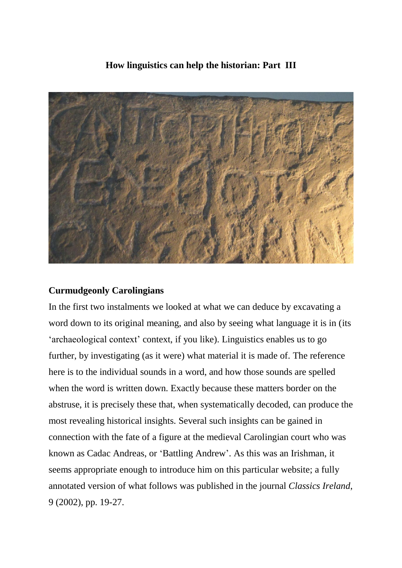## **How linguistics can help the historian: Part III**



## **Curmudgeonly Carolingians**

In the first two instalments we looked at what we can deduce by excavating a word down to its original meaning, and also by seeing what language it is in (its 'archaeological context' context, if you like). Linguistics enables us to go further, by investigating (as it were) what material it is made of. The reference here is to the individual sounds in a word, and how those sounds are spelled when the word is written down. Exactly because these matters border on the abstruse, it is precisely these that, when systematically decoded, can produce the most revealing historical insights. Several such insights can be gained in connection with the fate of a figure at the medieval Carolingian court who was known as Cadac Andreas, or 'Battling Andrew'. As this was an Irishman, it seems appropriate enough to introduce him on this particular website; a fully annotated version of what follows was published in the journal *Classics Ireland*, 9 (2002), pp. 19-27.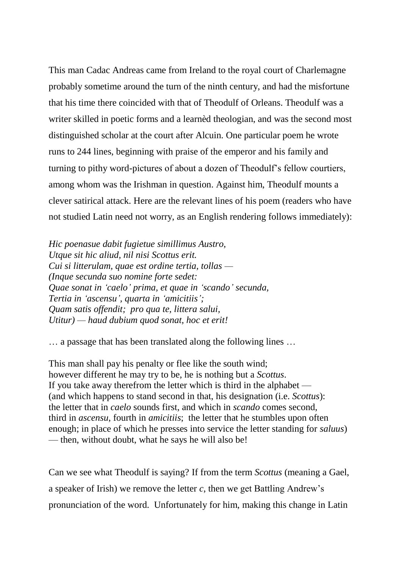This man Cadac Andreas came from Ireland to the royal court of Charlemagne probably sometime around the turn of the ninth century, and had the misfortune that his time there coincided with that of Theodulf of Orleans. Theodulf was a writer skilled in poetic forms and a learnèd theologian, and was the second most distinguished scholar at the court after Alcuin. One particular poem he wrote runs to 244 lines, beginning with praise of the emperor and his family and turning to pithy word-pictures of about a dozen of Theodulf's fellow courtiers, among whom was the Irishman in question. Against him, Theodulf mounts a clever satirical attack. Here are the relevant lines of his poem (readers who have not studied Latin need not worry, as an English rendering follows immediately):

*Hic poenasue dabit fugietue simillimus Austro, Utque sit hic aliud, nil nisi Scottus erit. Cui si litterulam, quae est ordine tertia, tollas — (Inque secunda suo nomine forte sedet: Quae sonat in 'caelo' prima, et quae in 'scando' secunda, Tertia in 'ascensu', quarta in 'amicitiis'; Quam satis offendit; pro qua te, littera salui, Utitur) — haud dubium quod sonat, hoc et erit!*

… a passage that has been translated along the following lines …

This man shall pay his penalty or flee like the south wind; however different he may try to be, he is nothing but a *Scottus*. If you take away therefrom the letter which is third in the alphabet — (and which happens to stand second in that, his designation (i.e. *Scottus*): the letter that in *caelo* sounds first, and which in *scando* comes second, third in *ascensu*, fourth in *amicitiis*; the letter that he stumbles upon often enough; in place of which he presses into service the letter standing for *saluus*) — then, without doubt, what he says he will also be!

Can we see what Theodulf is saying? If from the term *Scottus* (meaning a Gael, a speaker of Irish) we remove the letter *c*, then we get Battling Andrew's pronunciation of the word. Unfortunately for him, making this change in Latin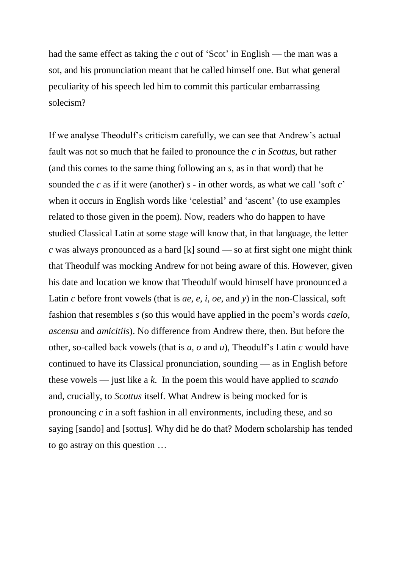had the same effect as taking the *c* out of 'Scot' in English — the man was a sot, and his pronunciation meant that he called himself one. But what general peculiarity of his speech led him to commit this particular embarrassing solecism?

If we analyse Theodulf's criticism carefully, we can see that Andrew's actual fault was not so much that he failed to pronounce the *c* in *Scottus*, but rather (and this comes to the same thing following an *s*, as in that word) that he sounded the *c* as if it were (another) *s* - in other words, as what we call 'soft *c*' when it occurs in English words like 'celestial' and 'ascent' (to use examples related to those given in the poem). Now, readers who do happen to have studied Classical Latin at some stage will know that, in that language, the letter *c* was always pronounced as a hard [k] sound — so at first sight one might think that Theodulf was mocking Andrew for not being aware of this. However, given his date and location we know that Theodulf would himself have pronounced a Latin *c* before front vowels (that is *ae*, *e*, *i*, *oe*, and *y*) in the non-Classical, soft fashion that resembles *s* (so this would have applied in the poem's words *caelo*, *ascensu* and *amicitiis*). No difference from Andrew there, then. But before the other, so-called back vowels (that is *a*, *o* and *u*), Theodulf's Latin *c* would have continued to have its Classical pronunciation, sounding — as in English before these vowels — just like a *k*. In the poem this would have applied to *scando* and, crucially, to *Scottus* itself. What Andrew is being mocked for is pronouncing *c* in a soft fashion in all environments, including these, and so saying [sando] and [sottus]. Why did he do that? Modern scholarship has tended to go astray on this question …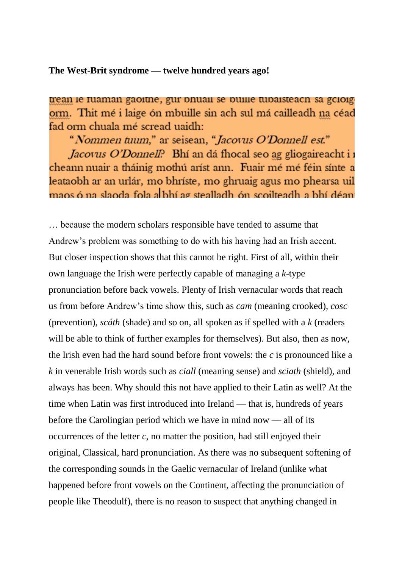**The West-Brit syndrome — twelve hundred years ago!**

trean le ruaman gaoitne, gur bhuail se buille tubaisteach sa gcloig orm. Thit mé i laige ón mbuille sin ach sul má cailleadh na céad fad orm chuala mé scread uaidh:

"Nommen tuum," ar seisean, "Jacovus O'Donnell est."

*Jacovus O'Donnell*? Bhí an dá fhocal seo ag gliogaireacht i i cheann nuair a tháinig mothú aríst ann. Fuair mé mé féin sínte a leataobh ar an urlár, mo bhríste, mo ghruaig agus mo phearsa uil maos ó na slaoda fola a bhí ag stealladh ón scoilteadh a bhí déan

… because the modern scholars responsible have tended to assume that Andrew's problem was something to do with his having had an Irish accent. But closer inspection shows that this cannot be right. First of all, within their own language the Irish were perfectly capable of managing a *k*-type pronunciation before back vowels. Plenty of Irish vernacular words that reach us from before Andrew's time show this, such as *cam* (meaning crooked), *cosc* (prevention), *scáth* (shade) and so on, all spoken as if spelled with a *k* (readers will be able to think of further examples for themselves). But also, then as now, the Irish even had the hard sound before front vowels: the *c* is pronounced like a *k* in venerable Irish words such as *ciall* (meaning sense) and *sciath* (shield), and always has been. Why should this not have applied to their Latin as well? At the time when Latin was first introduced into Ireland — that is, hundreds of years before the Carolingian period which we have in mind now — all of its occurrences of the letter *c*, no matter the position, had still enjoyed their original, Classical, hard pronunciation. As there was no subsequent softening of the corresponding sounds in the Gaelic vernacular of Ireland (unlike what happened before front vowels on the Continent, affecting the pronunciation of people like Theodulf), there is no reason to suspect that anything changed in